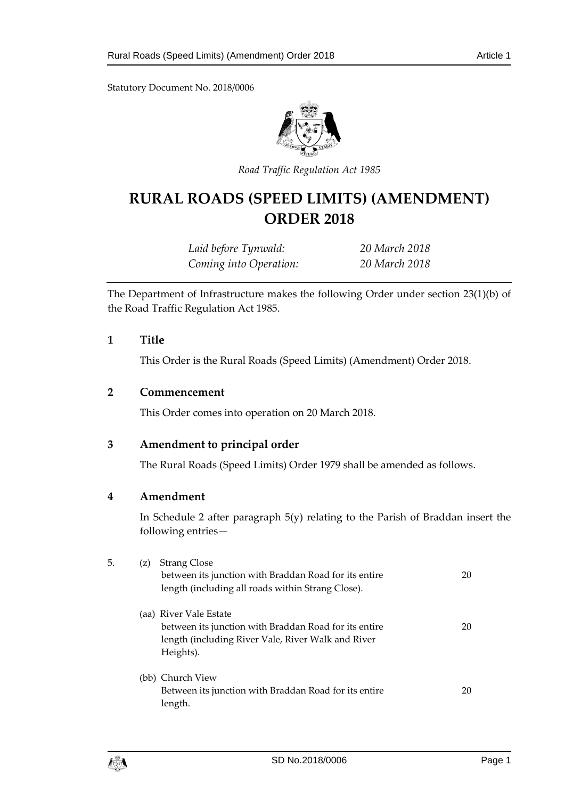Statutory Document No. 2018/0006



*Road Traffic Regulation Act 1985*

# **RURAL ROADS (SPEED LIMITS) (AMENDMENT) ORDER 2018**

*Laid before Tynwald: 20 March 2018 Coming into Operation: 20 March 2018*

The Department of Infrastructure makes the following Order under section 23(1)(b) of the Road Traffic Regulation Act 1985.

#### **1 Title**

This Order is the Rural Roads (Speed Limits) (Amendment) Order 2018.

## **2 Commencement**

This Order comes into operation on 20 March 2018.

#### **3 Amendment to principal order**

The Rural Roads (Speed Limits) Order 1979 shall be amended as follows.

#### **4 Amendment**

In Schedule 2 after paragraph 5(y) relating to the Parish of Braddan insert the following entries—

| 5. | (Z) | <b>Strang Close</b>                                                                                        | 20 |
|----|-----|------------------------------------------------------------------------------------------------------------|----|
|    |     | between its junction with Braddan Road for its entire<br>length (including all roads within Strang Close). |    |
|    |     | (aa) River Vale Estate                                                                                     |    |
|    |     | between its junction with Braddan Road for its entire                                                      | 20 |
|    |     | length (including River Vale, River Walk and River                                                         |    |
|    |     | Heights).                                                                                                  |    |
|    |     | (bb) Church View                                                                                           |    |
|    |     | Between its junction with Braddan Road for its entire                                                      | 20 |
|    |     | length.                                                                                                    |    |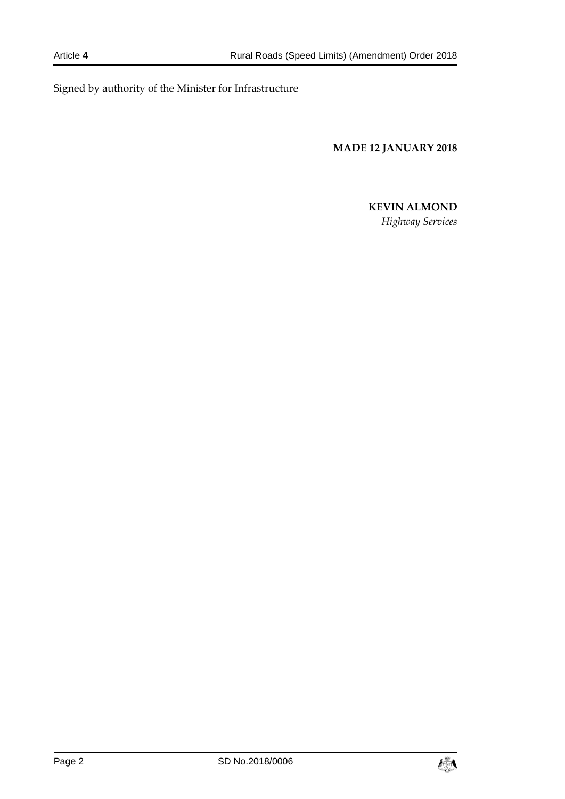Signed by authority of the Minister for Infrastructure

**MADE 12 JANUARY 2018**

# **KEVIN ALMOND**

*Highway Services*